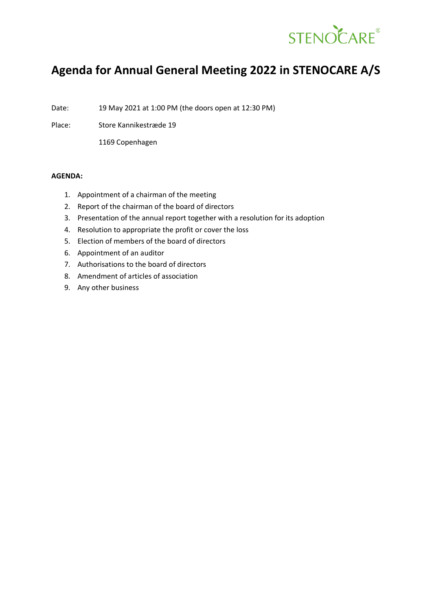

# **Agenda for Annual General Meeting 2022 in STENOCARE A/S**

Date: 19 May 2021 at 1:00 PM (the doors open at 12:30 PM)

Place: Store Kannikestræde 19

1169 Copenhagen

## **AGENDA:**

- 1. Appointment of a chairman of the meeting
- 2. Report of the chairman of the board of directors
- 3. Presentation of the annual report together with a resolution for its adoption
- 4. Resolution to appropriate the profit or cover the loss
- 5. Election of members of the board of directors
- 6. Appointment of an auditor
- 7. Authorisations to the board of directors
- 8. Amendment of articles of association
- 9. Any other business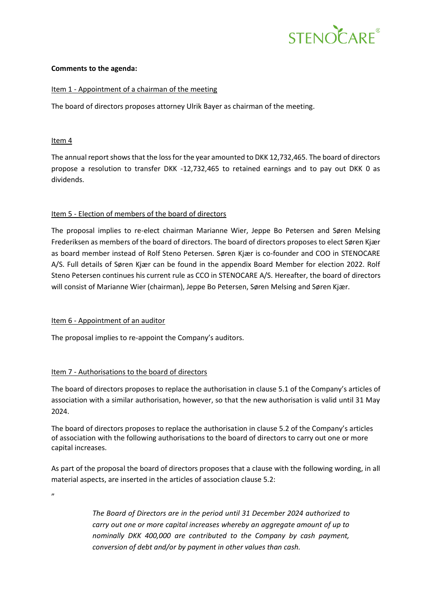

#### **Comments to the agenda:**

## Item 1 - Appointment of a chairman of the meeting

The board of directors proposes attorney Ulrik Bayer as chairman of the meeting.

## Item 4

The annual report shows that the loss for the year amounted to DKK 12,732,465. The board of directors propose a resolution to transfer DKK -12,732,465 to retained earnings and to pay out DKK 0 as dividends.

## Item 5 - Election of members of the board of directors

The proposal implies to re-elect chairman Marianne Wier, Jeppe Bo Petersen and Søren Melsing Frederiksen as members of the board of directors. The board of directors proposes to elect Søren Kjær as board member instead of Rolf Steno Petersen. Søren Kjær is co-founder and COO in STENOCARE A/S. Full details of Søren Kjær can be found in the appendix Board Member for election 2022. Rolf Steno Petersen continues his current rule as CCO in STENOCARE A/S. Hereafter, the board of directors will consist of Marianne Wier (chairman), Jeppe Bo Petersen, Søren Melsing and Søren Kjær.

#### Item 6 - Appointment of an auditor

The proposal implies to re-appoint the Company's auditors.

## Item 7 - Authorisations to the board of directors

The board of directors proposes to replace the authorisation in clause 5.1 of the Company's articles of association with a similar authorisation, however, so that the new authorisation is valid until 31 May 2024.

The board of directors proposes to replace the authorisation in clause 5.2 of the Company's articles of association with the following authorisations to the board of directors to carry out one or more capital increases.

As part of the proposal the board of directors proposes that a clause with the following wording, in all material aspects, are inserted in the articles of association clause 5.2:

,,

*The Board of Directors are in the period until 31 December 2024 authorized to carry out one or more capital increases whereby an aggregate amount of up to nominally DKK 400,000 are contributed to the Company by cash payment, conversion of debt and/or by payment in other values than cash.*